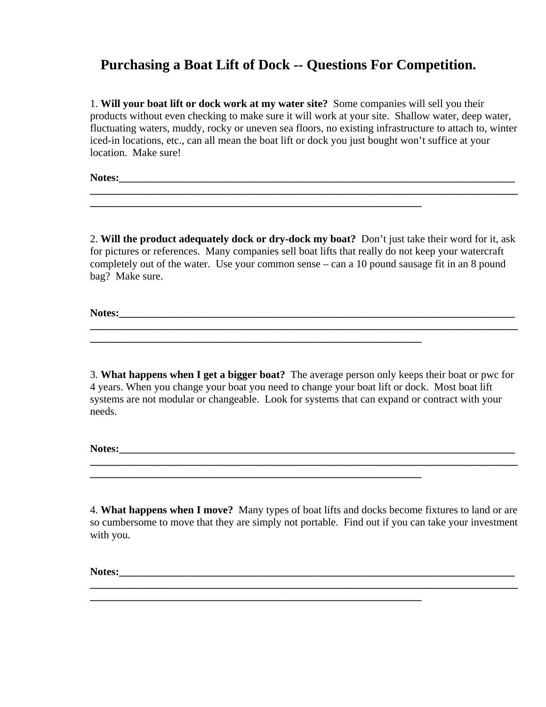## **Purchasing a Boat Lift of Dock -- Questions For Competition.**

 1. **Will your boat lift or dock work at my water site?** Some companies will sell you their products without even checking to make sure it will work at your site. Shallow water, deep water, fluctuating waters, muddy, rocky or uneven sea floors, no existing infrastructure to attach to, winter iced-in locations, etc., can all mean the boat lift or dock you just bought won't suffice at your location. Make sure!

**\_\_\_\_\_\_\_\_\_\_\_\_\_\_\_\_\_\_\_\_\_\_\_\_\_\_\_\_\_\_\_\_\_\_\_\_\_\_\_\_\_\_\_\_\_\_\_\_\_\_\_\_\_\_\_\_\_\_\_\_\_\_\_\_\_\_\_\_\_\_\_\_\_\_\_\_\_\_\_\_**

Notes:

 2. **Will the product adequately dock or dry-dock my boat?** Don't just take their word for it, ask for pictures or references. Many companies sell boat lifts that really do not keep your watercraft completely out of the water. Use your common sense – can a 10 pound sausage fit in an 8 pound bag? Make sure.

**Notes:\_\_\_\_\_\_\_\_\_\_\_\_\_\_\_\_\_\_\_\_\_\_\_\_\_\_\_\_\_\_\_\_\_\_\_\_\_\_\_\_\_\_\_\_\_\_\_\_\_\_\_\_\_\_\_\_\_\_\_\_\_\_\_\_\_\_\_\_\_\_\_\_\_\_ \_\_\_\_\_\_\_\_\_\_\_\_\_\_\_\_\_\_\_\_\_\_\_\_\_\_\_\_\_\_\_\_\_\_\_\_\_\_\_\_\_\_\_\_\_\_\_\_\_\_\_\_\_\_\_\_\_\_\_\_\_\_\_\_\_\_\_\_\_\_\_\_\_\_\_\_\_\_\_\_**

**\_\_\_\_\_\_\_\_\_\_\_\_\_\_\_\_\_\_\_\_\_\_\_\_\_\_\_\_\_\_\_\_\_\_\_\_\_\_\_\_\_\_\_\_\_\_\_\_\_\_\_\_\_\_\_\_\_\_\_\_\_\_**

**\_\_\_\_\_\_\_\_\_\_\_\_\_\_\_\_\_\_\_\_\_\_\_\_\_\_\_\_\_\_\_\_\_\_\_\_\_\_\_\_\_\_\_\_\_\_\_\_\_\_\_\_\_\_\_\_\_\_\_\_\_\_**

 3. **What happens when I get a bigger boat?** The average person only keeps their boat or pwc for 4 years. When you change your boat you need to change your boat lift or dock. Most boat lift systems are not modular or changeable. Look for systems that can expand or contract with your needs.

Notes:

 4. **What happens when I move?** Many types of boat lifts and docks become fixtures to land or are so cumbersome to move that they are simply not portable. Find out if you can take your investment with you.

**\_\_\_\_\_\_\_\_\_\_\_\_\_\_\_\_\_\_\_\_\_\_\_\_\_\_\_\_\_\_\_\_\_\_\_\_\_\_\_\_\_\_\_\_\_\_\_\_\_\_\_\_\_\_\_\_\_\_\_\_\_\_\_\_\_\_\_\_\_\_\_\_\_\_\_\_\_\_\_\_**

Notes: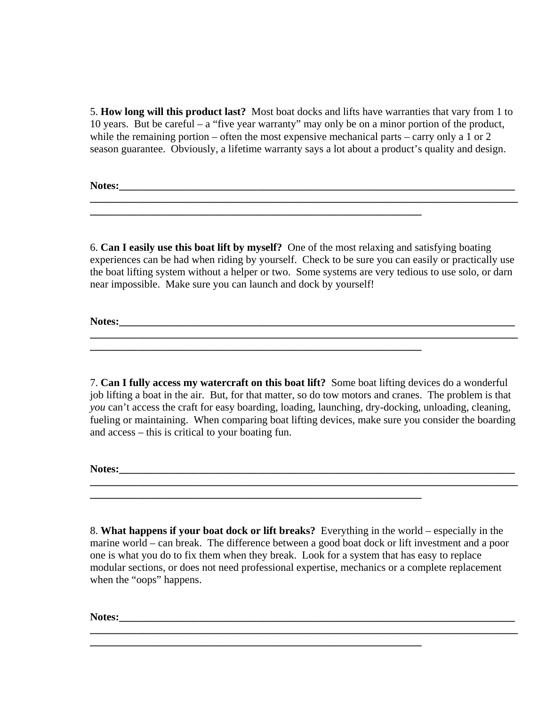5. **How long will this product last?** Most boat docks and lifts have warranties that vary from 1 to 10 years. But be careful – a "five year warranty" may only be on a minor portion of the product, while the remaining portion – often the most expensive mechanical parts – carry only a 1 or 2 season guarantee. Obviously, a lifetime warranty says a lot about a product's quality and design.

**Notes:\_\_\_\_\_\_\_\_\_\_\_\_\_\_\_\_\_\_\_\_\_\_\_\_\_\_\_\_\_\_\_\_\_\_\_\_\_\_\_\_\_\_\_\_\_\_\_\_\_\_\_\_\_\_\_\_\_\_\_\_\_\_\_\_\_\_\_\_\_\_\_\_\_\_**

 6. **Can I easily use this boat lift by myself?** One of the most relaxing and satisfying boating experiences can be had when riding by yourself. Check to be sure you can easily or practically use the boat lifting system without a helper or two. Some systems are very tedious to use solo, or darn near impossible. Make sure you can launch and dock by yourself!

**\_\_\_\_\_\_\_\_\_\_\_\_\_\_\_\_\_\_\_\_\_\_\_\_\_\_\_\_\_\_\_\_\_\_\_\_\_\_\_\_\_\_\_\_\_\_\_\_\_\_\_\_\_\_\_\_\_\_\_\_\_\_\_\_\_\_\_\_\_\_\_\_\_\_\_\_\_\_\_\_**

**\_\_\_\_\_\_\_\_\_\_\_\_\_\_\_\_\_\_\_\_\_\_\_\_\_\_\_\_\_\_\_\_\_\_\_\_\_\_\_\_\_\_\_\_\_\_\_\_\_\_\_\_\_\_\_\_\_\_\_\_\_\_**

**\_\_\_\_\_\_\_\_\_\_\_\_\_\_\_\_\_\_\_\_\_\_\_\_\_\_\_\_\_\_\_\_\_\_\_\_\_\_\_\_\_\_\_\_\_\_\_\_\_\_\_\_\_\_\_\_\_\_\_\_\_\_\_\_\_\_\_\_\_\_\_\_\_\_\_\_\_\_\_\_**

**Notes:\_\_\_\_\_\_\_\_\_\_\_\_\_\_\_\_\_\_\_\_\_\_\_\_\_\_\_\_\_\_\_\_\_\_\_\_\_\_\_\_\_\_\_\_\_\_\_\_\_\_\_\_\_\_\_\_\_\_\_\_\_\_\_\_\_\_\_\_\_\_\_\_\_\_**

 7. **Can I fully access my watercraft on this boat lift?** Some boat lifting devices do a wonderful job lifting a boat in the air. But, for that matter, so do tow motors and cranes. The problem is that *you* can't access the craft for easy boarding, loading, launching, dry-docking, unloading, cleaning, fueling or maintaining. When comparing boat lifting devices, make sure you consider the boarding and access – this is critical to your boating fun.

**\_\_\_\_\_\_\_\_\_\_\_\_\_\_\_\_\_\_\_\_\_\_\_\_\_\_\_\_\_\_\_\_\_\_\_\_\_\_\_\_\_\_\_\_\_\_\_\_\_\_\_\_\_\_\_\_\_\_\_\_\_\_\_\_\_\_\_\_\_\_\_\_\_\_\_\_\_\_\_\_**

Notes:

 8. **What happens if your boat dock or lift breaks?** Everything in the world – especially in the marine world – can break. The difference between a good boat dock or lift investment and a poor one is what you do to fix them when they break. Look for a system that has easy to replace modular sections, or does not need professional expertise, mechanics or a complete replacement when the "oops" happens.

**\_\_\_\_\_\_\_\_\_\_\_\_\_\_\_\_\_\_\_\_\_\_\_\_\_\_\_\_\_\_\_\_\_\_\_\_\_\_\_\_\_\_\_\_\_\_\_\_\_\_\_\_\_\_\_\_\_\_\_\_\_\_\_\_\_\_\_\_\_\_\_\_\_\_\_\_\_\_\_\_**

**\_\_\_\_\_\_\_\_\_\_\_\_\_\_\_\_\_\_\_\_\_\_\_\_\_\_\_\_\_\_\_\_\_\_\_\_\_\_\_\_\_\_\_\_\_\_\_\_\_\_\_\_\_\_\_\_\_\_\_\_\_\_**

**Notes:\_\_\_\_\_\_\_\_\_\_\_\_\_\_\_\_\_\_\_\_\_\_\_\_\_\_\_\_\_\_\_\_\_\_\_\_\_\_\_\_\_\_\_\_\_\_\_\_\_\_\_\_\_\_\_\_\_\_\_\_\_\_\_\_\_\_\_\_\_\_\_\_\_\_**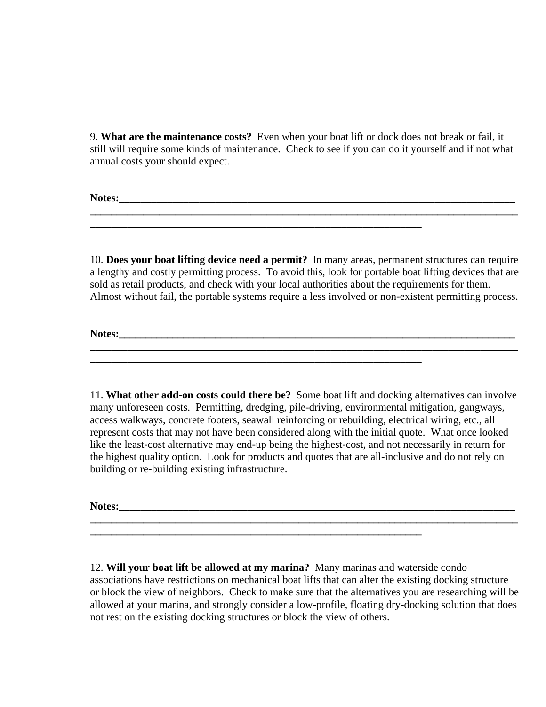9. **What are the maintenance costs?** Even when your boat lift or dock does not break or fail, it still will require some kinds of maintenance. Check to see if you can do it yourself and if not what annual costs your should expect.

**\_\_\_\_\_\_\_\_\_\_\_\_\_\_\_\_\_\_\_\_\_\_\_\_\_\_\_\_\_\_\_\_\_\_\_\_\_\_\_\_\_\_\_\_\_\_\_\_\_\_\_\_\_\_\_\_\_\_\_\_\_\_\_\_\_\_\_\_\_\_\_\_\_\_\_\_\_\_\_\_**

**\_\_\_\_\_\_\_\_\_\_\_\_\_\_\_\_\_\_\_\_\_\_\_\_\_\_\_\_\_\_\_\_\_\_\_\_\_\_\_\_\_\_\_\_\_\_\_\_\_\_\_\_\_\_\_\_\_\_\_\_\_\_**

**\_\_\_\_\_\_\_\_\_\_\_\_\_\_\_\_\_\_\_\_\_\_\_\_\_\_\_\_\_\_\_\_\_\_\_\_\_\_\_\_\_\_\_\_\_\_\_\_\_\_\_\_\_\_\_\_\_\_\_\_\_\_**

**\_\_\_\_\_\_\_\_\_\_\_\_\_\_\_\_\_\_\_\_\_\_\_\_\_\_\_\_\_\_\_\_\_\_\_\_\_\_\_\_\_\_\_\_\_\_\_\_\_\_\_\_\_\_\_\_\_\_\_\_\_\_**

**Notes:\_\_\_\_\_\_\_\_\_\_\_\_\_\_\_\_\_\_\_\_\_\_\_\_\_\_\_\_\_\_\_\_\_\_\_\_\_\_\_\_\_\_\_\_\_\_\_\_\_\_\_\_\_\_\_\_\_\_\_\_\_\_\_\_\_\_\_\_\_\_\_\_\_\_**

 10. **Does your boat lifting device need a permit?** In many areas, permanent structures can require a lengthy and costly permitting process. To avoid this, look for portable boat lifting devices that are sold as retail products, and check with your local authorities about the requirements for them. Almost without fail, the portable systems require a less involved or non-existent permitting process.

**Notes:\_\_\_\_\_\_\_\_\_\_\_\_\_\_\_\_\_\_\_\_\_\_\_\_\_\_\_\_\_\_\_\_\_\_\_\_\_\_\_\_\_\_\_\_\_\_\_\_\_\_\_\_\_\_\_\_\_\_\_\_\_\_\_\_\_\_\_\_\_\_\_\_\_\_**

 11. **What other add-on costs could there be?** Some boat lift and docking alternatives can involve many unforeseen costs. Permitting, dredging, pile-driving, environmental mitigation, gangways, access walkways, concrete footers, seawall reinforcing or rebuilding, electrical wiring, etc., all represent costs that may not have been considered along with the initial quote. What once looked like the least-cost alternative may end-up being the highest-cost, and not necessarily in return for the highest quality option. Look for products and quotes that are all-inclusive and do not rely on building or re-building existing infrastructure.

Notes:

 12. **Will your boat lift be allowed at my marina?** Many marinas and waterside condo associations have restrictions on mechanical boat lifts that can alter the existing docking structure or block the view of neighbors. Check to make sure that the alternatives you are researching will be allowed at your marina, and strongly consider a low-profile, floating dry-docking solution that does not rest on the existing docking structures or block the view of others.